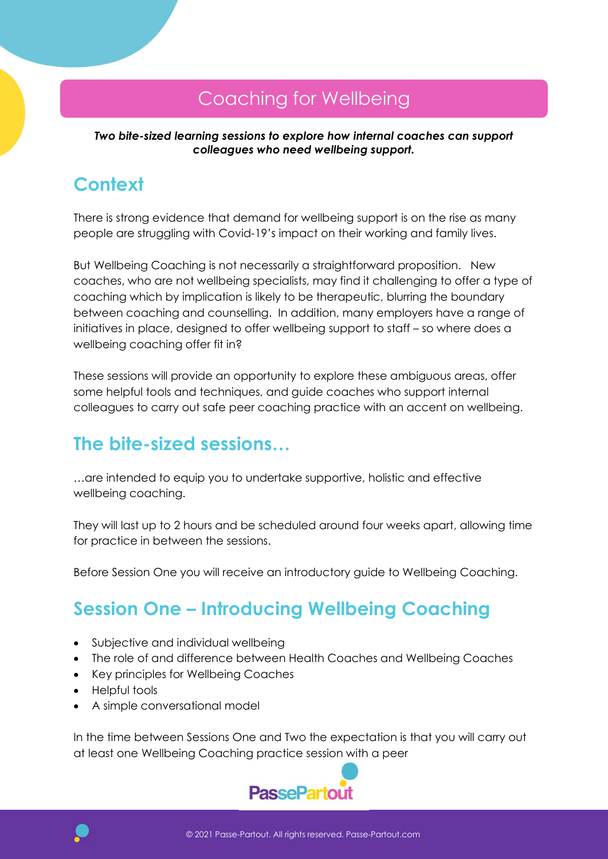### Coaching for Wellbeing

Two bite-sized learning sessions to explore how internal coaches can support colleagues who need wellbeing support.

## **Context**

There is strong evidence that demand for wellbeing support is on the rise as many people are struggling with Covid-19's impact on their working and family lives.

But Wellbeing Coaching is not necessarily a straightforward proposition. New coaches, who are not wellbeing specialists, may find it challenging to offer a type of coaching which by implication is likely to be therapeutic, blurring the boundary between coaching and counselling. In addition, many employers have a range of initiatives in place, designed to offer wellbeing support to staff – so where does a wellbeing coaching offer fit in?

These sessions will provide an opportunity to explore these ambiguous areas, offer some helpful tools and techniques, and guide coaches who support internal colleagues to carry out safe peer coaching practice with an accent on wellbeing.

#### The bite-sized sessions…

…are intended to equip you to undertake supportive, holistic and effective wellbeing coaching.

They will last up to 2 hours and be scheduled around four weeks apart, allowing time for practice in between the sessions.

Before Session One you will receive an introductory guide to Wellbeing Coaching.

# Session One – Introducing Wellbeing Coaching

- Subjective and individual wellbeing
- The role of and difference between Health Coaches and Wellbeing Coaches
- Key principles for Wellbeing Coaches
- Helpful tools
- A simple conversational model

In the time between Sessions One and Two the expectation is that you will carry out at least one Wellbeing Coaching practice session with a peer